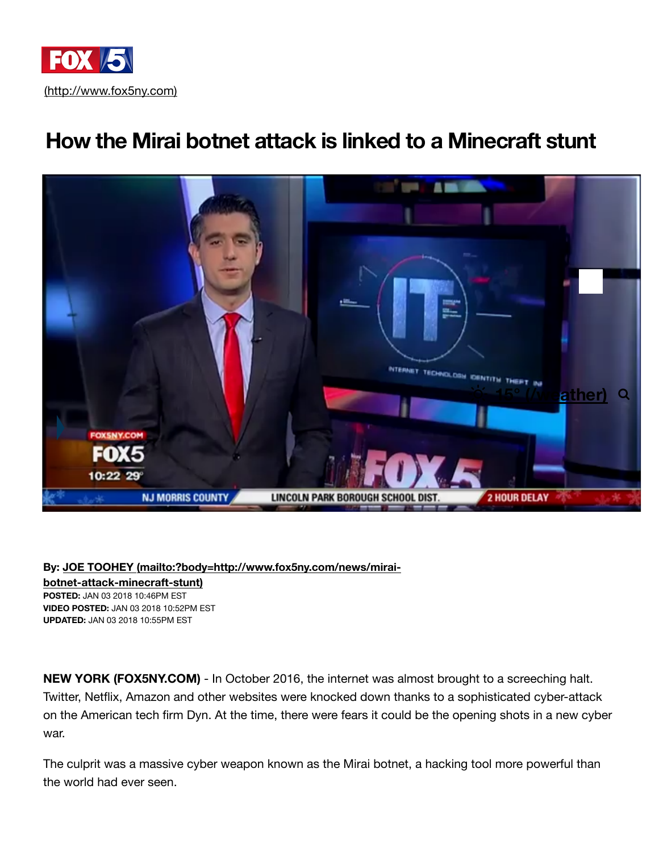

## **[How the Mirai botnet attack is linked to a Minecraft stunt](https://adclick.g.doubleclick.net/pcs/click?xai=AKAOjstySsa0k-7xaw7zlRuWiQnPzLZSmePRqd7ebg3IL1Jlv-RtCt26DzOT7fliMqwVKC8H9uS0z4GRQJpIUlaGhau9EWhhkM7xAnzZZP-Fpnr4J15at4zfCh2dsDfPRI6k0A&sig=Cg0ArKJSzEtxkUl0VdI5&urlfix=1&adurl=https://adclick.g.doubleclick.net/pcs/click%3Fxai%3DAKAOjsvupW5gizZeqVfqpExI55uEaCNACVrKL-2LT51nTHLbUi5pyoB2FhjBW-Acp4suNHxPU6bQcBSKUu9-qc5uf0UtkrKuaTkGiRE9-kkeE6MycbUP90RWNW_BELipTdsZr3MAiQpXMYKvOSQbBmdaMWkAKYv504j0VQfyv1PXEimiv6mmjSn7IEJnHc6hJ8XDLVrwoIK9kRWnMDwPCO0QJj8V8WqZx-pbRItB6svqPonf1V8p%26sig%3DCg0ArKJSzPPhogppBDr3EAE%26urlfix%3D1%26adurl%3Dhttps://www.fox.com/hells-kitchen/)**



**By: JOE TOOHEY (mailto:?body=http://www.fox5ny.com/news/miraibotnet-attack-minecraft-stunt) POSTED:** JAN 03 2018 10:46PM EST **VIDEO POSTED:** [JAN 03 2018 10:52PM EST](mailto:?body=http://www.fox5ny.com/news/mirai-botnet-attack-minecraft-stunt) **UPDATED:** JAN 03 2018 10:55PM EST

**NEW YORK (FOX5NY.COM)** - In October 2016, the internet was almost brought to a screeching halt. Twitter, Netflix, Amazon and other websites were knocked down thanks to a sophisticated cyber-attack on the American tech firm Dyn. At the time, there were fears it could be the opening shots in a new cyber war.

The culprit was a massive cyber weapon known as the Mirai botnet, a hacking tool more powerful than the world had ever seen.